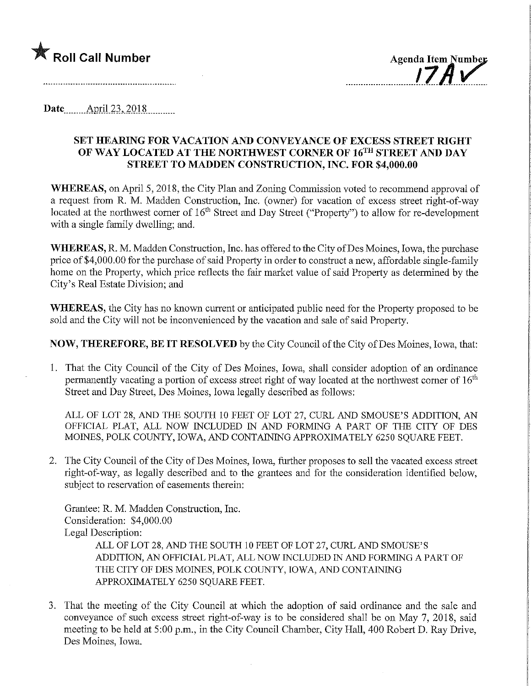



Date <u>\_\_\_\_\_</u> April 23, 2018

## SET HEARING FOR VACATION AND CONVEYANCE OF EXCESS STREET RIGHT OF WAY LOCATED AT THE NORTHWEST CORNER OF 16TH STREET AND DAY STREET TO MADDEN CONSTRUCTION, INC. FOR \$4,000.00

WHEREAS, on April 5,2018, the City Plan and Zoning Commission voted to recommend approval of a request from R. M. Madden Construction, Inc. (owner) for vacation of excess street right-of-way located at the northwest corner of  $16<sup>th</sup>$  Street and Day Street ("Property") to allow for re-development with a single family dwelling; and.

WHEREAS, R. M. Madden Construction, Inc. has offered to the City of Des Moines, Iowa, the purchase price of \$4,000.00 for the purchase of said Property in order to construct a new, affordable single-family home on the Property, which price reflects the fair market value of said Property as determined by the City's Real Estate Division; and

WHEREAS, the City has no known current or anticipated public need for the Property proposed to be sold and the City will not be inconvenienced by the vacation and sale of said Property.

NOW, THEREFORE, BE IT RESOLVED by the City Council of the City of Des Moines, Iowa, that:

1. That the City Council of the City of Des Moines, Iowa, shall consider adoption of an ordinance permanently vacating a portion of excess street right of way located at the northwest corner of  $16<sup>th</sup>$ Street and Day Street, Des Moines, Iowa legally described as follows:

ALL OF LOT 28, AND THE SOUTH 10 FEET OF LOT 27, CURL AND SMOUSE'S ADDITION, AN OFFICIAL PLAT, ALL NOW INCLUDED IN AND FORMING A PART OF THE CITY OF DES MOINES, POLK COUNTY, IOWA, AND CONTAINING APPROXIMATELY 6250 SQUARE FEET.

2. The City Council of the City of Des Moines, Iowa, further proposes to sell the vacated excess street right-of-way, as legally described and to the grantees and for the consideration identified below, subject to reservation of easements therein:

Grantee: R. M. Madden Construction, Inc. Consideration: \$4,000.00 Legal Description:

ALL OF LOT 28, AND THE SOUTH 10 FEET OF LOT 27, CURL AND SMOUSE'S ADDITION, AN OFFICIAL PLAT, ALL NOW INCLUDED IN AND FORMING A PART OF THE CITY OF DES MOINES, POLK COUNTY, IOWA, AND CONTAINING APPROXIMATELY 6250 SQUARE FEET.

3. That the meeting of the City Council at which the adoption of said ordinance and the sale and conveyance of such excess street right-of-way is to be considered shall be on May 7, 2018, said meeting to be held at 5:00 p.m., in the City Council Chamber, City Hall, 400 Robert D. Ray Drive, Des Moines, Iowa.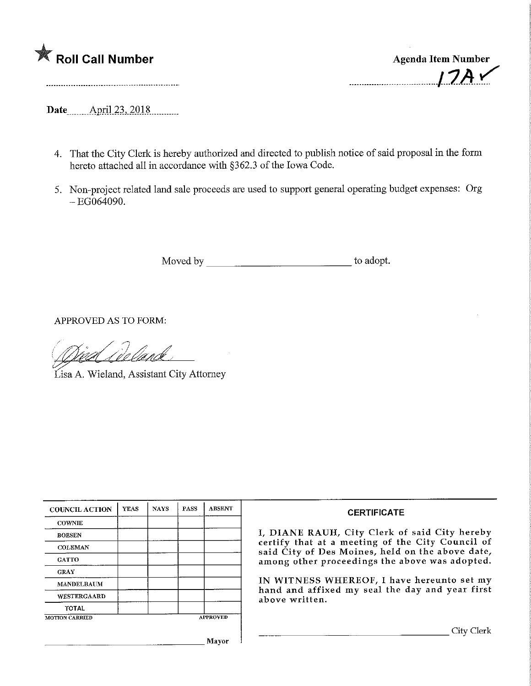

---------------------------------

Date April 23, 2018

- 4. That the City Clerk is hereby authorized and directed to publish notice of said proposal in the form hereto attached all in accordance with §362.3 of the Iowa Code.
- 5. Non-project related land sale proceeds are used to support general operating budget expenses: Org  $-EG064090.$

Moved by to adopt.

APPROVED AS TO FORM:

<u>/ *' Meel Allind*e</u><br>Lisa A. Wieland, Assistant City Attorney

| <b>COUNCIL ACTION</b> | <b>YEAS</b> | <b>NAYS</b> | PASS            | <b>ABSENT</b> |
|-----------------------|-------------|-------------|-----------------|---------------|
| <b>COWNIE</b>         |             |             |                 |               |
| <b>BOESEN</b>         |             |             |                 |               |
| <b>COLEMAN</b>        |             |             |                 |               |
| <b>GATTO</b>          |             |             |                 |               |
| <b>GRAY</b>           |             |             |                 |               |
| <b>MANDELBAUM</b>     |             |             |                 |               |
| <b>WESTERGAARD</b>    |             |             |                 |               |
| <b>TOTAL</b>          |             |             |                 |               |
| <b>MOTION CARRIED</b> |             |             | <b>APPROVED</b> |               |

## **CERTIFICATE**

I, DIANE RAUH/ City Clerk of said City hereby certify that at a meeting of the City Council of said City of Des Moines, held on the above date, among other proceedings the above was adopted.

IN WITNESS WHEREOF, I have hereunto set my hand and affixed my seal the day and year first above written.

Mayor

 $\mathbf{1}$